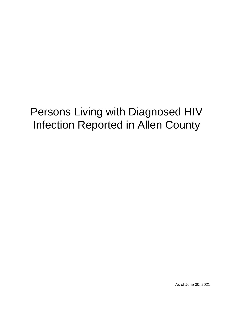# Persons Living with Diagnosed HIV Infection Reported in Allen County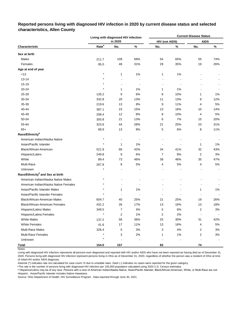# **Reported persons living with diagnosed HIV infection in 2020 by current disease status and selected characteristics, Allen County**

|                                              |                   | Living with diagnosed HIV infection |      | <b>Current Disease Status</b> |                          |                          |      |  |  |  |
|----------------------------------------------|-------------------|-------------------------------------|------|-------------------------------|--------------------------|--------------------------|------|--|--|--|
|                                              |                   | in 2020                             |      | <b>HIV (not AIDS)</b>         |                          | <b>AIDS</b>              |      |  |  |  |
| Characteristic                               | Rate <sup>a</sup> | No.                                 | $\%$ | No.                           | %                        | No.                      | $\%$ |  |  |  |
| Sex at birth                                 |                   |                                     |      |                               |                          |                          |      |  |  |  |
| Males                                        | 211.7             | 109                                 | 69%  | 54                            | 65%                      | 55                       | 74%  |  |  |  |
| Females                                      | 95.0              | 48                                  | 31%  | 29                            | 35%                      | 19                       | 26%  |  |  |  |
| Age at end of year                           |                   |                                     |      |                               |                          |                          |      |  |  |  |
| < 13                                         | $\star$           | 1                                   | 1%   | 1                             | 1%                       |                          |      |  |  |  |
| $13 - 14$                                    |                   |                                     |      |                               |                          |                          |      |  |  |  |
| 15-19                                        |                   |                                     |      |                               | $\overline{\phantom{a}}$ |                          |      |  |  |  |
| 20-24                                        | $\star$           | 1                                   | 1%   | 1                             | 1%                       |                          |      |  |  |  |
| 25-29                                        | 135.2             | 9                                   | 6%   | 8                             | 10%                      | 1                        | 1%   |  |  |  |
| 30-34                                        | 332.8             | 20                                  | 13%  | 11                            | 13%                      | 9                        | 12%  |  |  |  |
| 35-39                                        | 219.6             | 13                                  | 8%   | 9                             | 11%                      | 4                        | 5%   |  |  |  |
| 40-44                                        | 387.1             | 23                                  | 15%  | 13                            | 16%                      | 10                       | 14%  |  |  |  |
| 45-49                                        | 208.4             | 12                                  | 8%   | 8                             | 10%                      | 4                        | 5%   |  |  |  |
| 50-54                                        | 355.8             | 21                                  | 13%  | 6                             | 7%                       | 15                       | 20%  |  |  |  |
| 55-64                                        | 323.6             | 44                                  | 28%  | 21                            | 25%                      | 23                       | 31%  |  |  |  |
| $65+$                                        | 68.9              | 13                                  | 8%   | 5                             | 6%                       | 8                        | 11%  |  |  |  |
| Race/Ethnicity <sup>b</sup>                  |                   |                                     |      |                               |                          |                          |      |  |  |  |
| American Indian/Alaska Native                | $\star$           |                                     |      |                               |                          |                          |      |  |  |  |
| Asian/Pacific Islander                       | $\star$           | 1                                   | 1%   | $\blacksquare$                | $\overline{\phantom{a}}$ | $\mathbf{1}$             | 1%   |  |  |  |
| Black/African-American                       | 521.9             | 66                                  | 42%  | 34                            | 41%                      | 32                       | 43%  |  |  |  |
| Hispanic/Latinx                              | 249.8             | 9                                   | 6%   | $\overline{7}$                | 8%                       | 2                        | 3%   |  |  |  |
| White                                        | 89.4              | 73                                  | 46%  | 38                            | 46%                      | 35                       | 47%  |  |  |  |
| Multi-Race                                   | 267.8             | 8                                   | 5%   | 4                             | 5%                       | 4                        | 5%   |  |  |  |
| Unknown                                      | $\star$           |                                     |      |                               |                          |                          |      |  |  |  |
| Race/Ethnicity <sup>b</sup> and Sex at birth |                   |                                     |      |                               |                          |                          |      |  |  |  |
| American Indian/Alaska Native Males          | $\star$           |                                     |      |                               |                          |                          |      |  |  |  |
| American Indian/Alaska Native Females        |                   |                                     |      |                               |                          |                          |      |  |  |  |
| Asian/Pacific Islander Males                 |                   | 1                                   | 1%   |                               |                          | 1                        | 1%   |  |  |  |
| Asian/Pacific Islander Females               |                   |                                     |      |                               |                          |                          |      |  |  |  |
| <b>Black/African-American Males</b>          | 604.7             | 40                                  | 25%  | 21                            | 25%                      | 19                       | 26%  |  |  |  |
| Black/African-American Females               | 431.2             | 26                                  | 17%  | 13                            | 16%                      | 13                       | 18%  |  |  |  |
| Hispanic/Latino Males                        | 349.5             | 7                                   | 4%   | 5                             | $6\%$                    | 2                        | 3%   |  |  |  |
| Hispanic/Latina Females                      | $\star$           | $\boldsymbol{2}$                    | 1%   | $\mathbf 2$                   | 2%                       | $\overline{\phantom{a}}$ |      |  |  |  |
| <b>White Males</b>                           | 137.2             | 56                                  | 36%  | 25                            | 30%                      | 31                       | 42%  |  |  |  |
| <b>White Females</b>                         | 41.6              | 17                                  | 11%  | 13                            | 16%                      | 4                        | 5%   |  |  |  |
| Multi-Race Males                             | 326.4             | 5                                   | 3%   | 3                             | 4%                       | 2                        | 3%   |  |  |  |
| <b>Multi-Race Females</b>                    | $\star$           | 3                                   | 2%   | 1                             | 1%                       | 2                        | 3%   |  |  |  |
| Unknown                                      | $\star$           |                                     |      |                               |                          |                          |      |  |  |  |
| <b>Total</b>                                 | 154.0             | 157                                 |      | 83                            |                          | 74                       |      |  |  |  |

Notes:

Living with diagnosed HIV infection represents all persons ever diagnosed and reported with HIV and/or AIDS who have not been reported as having died as of December 31, 2020. Persons living with diagnosed HIV infection represent persons living in Ohio as of December 31, 2020, regardless of whether the person was a resident of Ohio at time of initial HIV and/or AIDS diagnosis.

Asterisk (\*) indicates rate not calculated for case count <5 due to unstable rates. Dash (-) indicates no cases were reported for the given category.

a The rate is the number of persons living with diagnosed HIV infection per 100,000 population calculated using 2020 U.S. Census estimates.

ᵇ Hispanics/Latinx may be of any race. Persons with a race of American Indian/Alaska Native, Asian/Pacific Islander, Black/African-American, White, or Multi-Race are not-Hispanic. Asian/Pacific Islander includes Native Hawaiians.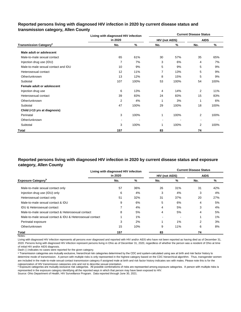# **Reported persons living with diagnosed HIV infection in 2020 by current disease status and transmission category, Allen County**

|                                          | Living with diagnosed HIV infection |      | <b>Current Disease Status</b> |      |                |      |  |  |  |  |
|------------------------------------------|-------------------------------------|------|-------------------------------|------|----------------|------|--|--|--|--|
|                                          | in 2020                             |      | HIV (not AIDS)                |      | <b>AIDS</b>    |      |  |  |  |  |
| <b>Transmission Category<sup>a</sup></b> | No.                                 | %    | No.                           | %    | No.            | %    |  |  |  |  |
| Male adult or adolescent                 |                                     |      |                               |      |                |      |  |  |  |  |
| Male-to-male sexual contact              | 65                                  | 61%  | 30                            | 57%  | 35             | 65%  |  |  |  |  |
| Injection drug use (IDU)                 | 7                                   | 7%   | 3                             | 6%   | 4              | 7%   |  |  |  |  |
| Male-to-male sexual contact and IDU      | 10                                  | 9%   | 5                             | 9%   | 5              | 9%   |  |  |  |  |
| Heterosexual contact                     | 12                                  | 11%  | 7                             | 13%  | 5              | 9%   |  |  |  |  |
| Other/unknown                            | 13                                  | 12%  | 8                             | 15%  | 5              | 9%   |  |  |  |  |
| Subtotal                                 | 107                                 | 100% | 53                            | 100% | 54             | 100% |  |  |  |  |
| Female adult or adolescent               |                                     |      |                               |      |                |      |  |  |  |  |
| Injection drug use                       | 6                                   | 13%  | 4                             | 14%  | $\overline{2}$ | 11%  |  |  |  |  |
| Heterosexual contact                     | 39                                  | 83%  | 24                            | 83%  | 15             | 83%  |  |  |  |  |
| Other/unknown                            | $\overline{2}$                      | 4%   | -1                            | 3%   |                | 6%   |  |  |  |  |
| Subtotal                                 | 47                                  | 100% | 29                            | 100% | 18             | 100% |  |  |  |  |
| Child (<13 yrs at diagnosis)             |                                     |      |                               |      |                |      |  |  |  |  |
| Perinatal                                | 3                                   | 100% | 1                             | 100% | 2              | 100% |  |  |  |  |
| Other/unknown                            |                                     |      | ٠                             |      |                |      |  |  |  |  |
| Subtotal                                 | 3                                   | 100% | 1                             | 100% | 2              | 100% |  |  |  |  |
| Total                                    | 157                                 |      | 83                            |      | 74             |      |  |  |  |  |

# **Reported persons living with diagnosed HIV infection in 2020 by current disease status and exposure category, Allen County**

|                                                          | Living with diagnosed HIV infection |     | <b>Current Disease Status</b> |       |             |       |  |  |  |  |
|----------------------------------------------------------|-------------------------------------|-----|-------------------------------|-------|-------------|-------|--|--|--|--|
|                                                          | in 2020                             |     | <b>HIV (not AIDS)</b>         |       | <b>AIDS</b> |       |  |  |  |  |
| <b>Exposure Category</b> <sup>b</sup>                    | No.                                 | %   | No.                           | %     | No.         | %     |  |  |  |  |
| Male-to-male sexual contact only                         | 57                                  | 36% | 26                            | 31%   | 31          | 42%   |  |  |  |  |
| Injection drug use (IDU) only                            | 6                                   | 4%  | 3                             | 4%    | 3           | 4%    |  |  |  |  |
| Heterosexual contact only                                | 51                                  | 32% | 31                            | 37%   | 20          | 27%   |  |  |  |  |
| Male-to-male sexual contact & IDU                        | 9                                   | 6%  | 5                             | 6%    | 4           | 5%    |  |  |  |  |
| IDU & Heterosexual contact                               | 7                                   | 4%  | 4                             | 5%    | 3           | 4%    |  |  |  |  |
| Male-to-male sexual contact & Heterosexual contact       | 8                                   | 5%  | 4                             | 5%    | 4           | 5%    |  |  |  |  |
| Male-to-male sexual contact & IDU & Heterosexual contact |                                     | 1%  |                               |       |             | $1\%$ |  |  |  |  |
| Perinatal exposure                                       | 3                                   | 2%  |                               | $1\%$ | 2           | 3%    |  |  |  |  |
| Other/unknown                                            | 15                                  | 10% | 9                             | 11%   | 6           | 8%    |  |  |  |  |
| <b>Total</b>                                             | 157                                 |     | 83                            |       | 74          |       |  |  |  |  |

Notes:

Living with diagnosed HIV infection represents all persons ever diagnosed and reported with HIV and/or AIDS who have not been reported as having died as of December 31, 2020. Persons living with diagnosed HIV infection represent persons living in Ohio as of December 31, 2020, regardless of whether the person was a resident of Ohio at time of initial HIV and/or AIDS diagnosis.

Dash (-) indicates no cases were reported for the given category.

a Transmission categories are mutually exclusive, hierarchical risk categories determined by the CDC and system-calculated using sex at birth and risk factor history to determine mode of transmission. A person with multiple risks is only represented in the highest category based on the CDC hierarchical algorithm. Thus, transgender women are included in the male-to-male sexual contact transmission category if assigned male at birth and risk factor history indicates sex with males. Please note this is for the categorization of HIV transmission categories only and not to describe sexual orientation.

**b** Exposure categories are mutually exclusive risk categories. All possible combinations of risks are represented among exposure categories. A person with multiple risks is represented in the exposure category identifying all the reported ways in which that person may have been exposed to HIV.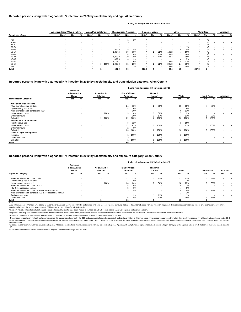|                    |                   | American Indian/Alaska Native |   | <b>Asian/Pacific Islander</b> |                          | <b>Black/African-American</b> |                   | Hispanic/ Latinx <sup>a</sup> |                          | White             |     |        | <b>Multi-Race</b> |     |       | <b>Unknown</b>    |       |   |     |   |
|--------------------|-------------------|-------------------------------|---|-------------------------------|--------------------------|-------------------------------|-------------------|-------------------------------|--------------------------|-------------------|-----|--------|-------------------|-----|-------|-------------------|-------|---|-----|---|
| Age at end of year | Rate <sup>b</sup> | No.                           | % | Rate <sup>p</sup>             | No.                      | %                             | Rate <sup>r</sup> | No.                           | %                        | Rate <sup>r</sup> | No. | %      | Rate <sup>r</sup> | No. | %     | Rate <sup>"</sup> | No.   | % | No. | % |
| < 13               |                   |                               |   |                               |                          |                               |                   |                               | 2%                       |                   |     |        |                   |     |       |                   | $5$   |   |     |   |
| $13 - 14$          |                   |                               |   |                               |                          | $\sim$                        |                   |                               | $\overline{\phantom{a}}$ |                   |     |        |                   |     |       |                   | <5    |   |     |   |
| $15 - 19$          |                   |                               |   |                               |                          | $\overline{\phantom{a}}$      |                   |                               | $\overline{\phantom{a}}$ |                   |     |        |                   |     |       |                   | <5    |   |     |   |
| $20 - 24$          |                   |                               |   |                               |                          |                               |                   |                               |                          |                   |     |        |                   |     | $1\%$ |                   | < 5   |   |     |   |
| 25-29              |                   | $\,$ $\,$                     |   |                               | $\,$ $\,$                | $\sim$                        | 500.5             |                               | 8%                       |                   |     |        |                   |     | 5%    |                   | < 5   |   |     |   |
| 30-34              |                   |                               |   |                               |                          | $\overline{\phantom{a}}$      | 1,267.4           | 10                            | 15%                      | $\star$           |     | 22%    | 146.2             |     | 10%   |                   | $5$   |   |     |   |
| 35-39              |                   |                               |   |                               |                          | $\sim$                        |                   |                               | 6%                       | $\star$           |     | 11%    | 149.5             |     | 10%   |                   | < 5   |   |     |   |
| 40-44              |                   |                               |   |                               |                          | $\,$ $\,$                     | .250.0            | 10                            | 15%                      | $\star$           |     | 44%    | 148.4             |     | 10%   |                   | < 5   |   |     |   |
| 45-49              |                   | $\,$ $\,$                     |   |                               | $\sim$                   | $\sim$                        | 859.6             | 6.                            | 9%                       | $\star$           |     | $\sim$ |                   |     | 5%    |                   | <5    |   |     |   |
| 50-54              |                   | $\sim$                        |   |                               | $\overline{\phantom{a}}$ | $\overline{\phantom{a}}$      | ,771.1            | 13                            | 20%                      | $\star$           |     | . .    | 163.5             | 8   | 11%   |                   | < 5   |   |     |   |
| 55-64              |                   |                               |   |                               |                          | 100%                          | 1,030.2           | 15                            | 23%                      | $\star$           | ົ   | 22%    | 205.8             | 24  | 33%   |                   | $<$ 5 |   |     |   |
| $65+$              |                   |                               |   |                               |                          | $\,$ $\,$                     |                   |                               | 3%                       |                   |     | $\sim$ | 65.6              | 11  | 15%   |                   | < 5   |   |     |   |
| <b>Total</b>       |                   | $\overline{\phantom{0}}$      |   |                               |                          |                               | 521.9             | 66                            |                          | 249.8             |     |        | 89.4              | 73  |       | 267.8             |       |   |     |   |

© Transmission categories are mutually exclusive, hierarchical risk categories determined by the CDC and system-calculated using sex at birth and risk factor history to determine mode of transmission. A person with multip hierarchical algorithm. Thus, transgender women are included in the male-to-male sexual contact transmission category if assigned male at birth and risk factor history indicates sex with males. Please note this is for the sexual orientation.

|                                          |                                            |                          |                                  |                          |                                   |      |                                  | Living with diagnosed HIV infection in 2020 |                          |          |                   |      |                |                          |
|------------------------------------------|--------------------------------------------|--------------------------|----------------------------------|--------------------------|-----------------------------------|------|----------------------------------|---------------------------------------------|--------------------------|----------|-------------------|------|----------------|--------------------------|
|                                          | American<br>Indian/Alaska<br><b>Native</b> |                          | <b>Asian/Pacific</b><br>Islander |                          | <b>Black/African-</b><br>American |      | Hispanic/<br>Latinx <sup>a</sup> |                                             | White                    |          | <b>Multi-Race</b> |      | <b>Unknown</b> |                          |
| <b>Transmission Category<sup>c</sup></b> | No.                                        | %                        | No.                              | %                        | No.                               | %    | No.                              | %                                           | No.                      | %        | No.               | %    | No.            | %                        |
| Male adult or adolescent                 |                                            |                          |                                  |                          |                                   |      |                                  |                                             |                          |          |                   |      |                |                          |
| Male-to-male sexual contact              | $\sim$                                     | $\overline{\phantom{a}}$ | $\sim$                           | $\overline{\phantom{a}}$ | 24                                | 62%  | $\overline{2}$                   | 33%                                         | 35                       | 63%      | 4                 | 80%  | $\sim$         | $\,$ $\,$                |
| Injection drug use (IDU)                 | $\blacksquare$                             | $\overline{\phantom{a}}$ | $\sim$                           | <b>.</b>                 |                                   | 10%  | $\sim$                           | $\,$ $\,$                                   | 3                        | 5%       | $\sim$            |      |                |                          |
| Male-to-male sexual contact and IDU      | $\blacksquare$                             | $\overline{\phantom{a}}$ | $\sim$                           |                          |                                   | 10%  |                                  |                                             | 6                        | 11%      |                   |      |                |                          |
| Heterosexual contact                     | $\sim$                                     | $\overline{\phantom{a}}$ |                                  | 100%                     |                                   | 8%   | 3                                | 50%                                         | $\mathbf{b}$             | 9%       | $\,$ $\,$         |      |                | $\,$ $\,$                |
| Other/unknown                            |                                            |                          |                                  |                          |                                   | 10%  |                                  | 17%                                         |                          | 13%      |                   | 20%  | $\sim$         | $\,$ $\,$                |
| Subtotal                                 | $\sim$                                     | $\overline{\phantom{a}}$ |                                  | 100%                     | 39                                | 100% | 6                                | 100%                                        | 56                       | 100%     | 5                 | 100% | $\sim$         | $\,$ $\,$                |
| Female adult or adolescent               |                                            |                          |                                  |                          |                                   |      |                                  |                                             |                          |          |                   |      |                |                          |
| Injection drug use                       | $\overline{\phantom{a}}$                   |                          | $\sim$                           |                          | 3                                 | 12%  |                                  |                                             | 3                        | 19%      |                   |      |                |                          |
| Heterosexual contact                     | $\blacksquare$                             | $\overline{\phantom{a}}$ | $\sim$                           | $\overline{\phantom{a}}$ | 21                                | 81%  | $\overline{2}$                   | 100%                                        | 13                       | 81%      | 3                 | 100% |                | $\overline{\phantom{0}}$ |
| Other/unknown                            | $\blacksquare$                             | $\overline{\phantom{a}}$ | $\sim$                           | $\sim$                   |                                   | 8%   |                                  |                                             | $\overline{\phantom{a}}$ | <b>1</b> |                   |      | $\sim$         | $\,$ $\,$                |
| Subtotal                                 | $\blacksquare$                             | $\overline{\phantom{a}}$ | $\sim$                           | $\overline{\phantom{a}}$ | 26                                | 100% | 2                                | 100%                                        | 16                       | 100%     | 3                 | 100% | $\sim$         | $\,$ $\,$                |
| Child (<13 yrs at diagnosis)             |                                            |                          |                                  |                          |                                   |      |                                  |                                             |                          |          |                   |      |                |                          |
| Perinatal                                | $\sim$                                     |                          | $\sim$                           | <b>.</b>                 |                                   | 100% |                                  | 100%                                        |                          | 100%     | $\,$ $\,$         |      |                |                          |
| Other/unknown                            | $\sim$                                     | $\overline{\phantom{a}}$ | $\sim$                           | $\overline{\phantom{a}}$ | $\,$ $\,$                         |      |                                  |                                             | $\overline{\phantom{a}}$ |          | $\,$ $\,$         |      |                |                          |
| Subtotal                                 | $\sim$                                     | $\overline{\phantom{a}}$ | $\sim$                           | $\overline{\phantom{a}}$ |                                   | 100% |                                  | 100%                                        |                          | 100%     |                   |      |                |                          |
| Total                                    | $\sim$                                     |                          |                                  |                          | 66                                |      | 9                                |                                             | 73                       |          | 8                 |      |                |                          |

<sup>d</sup> Exposure categories are mutually exclusive risk categories. All possible combinations of risks are represented among exposure categories. A person with multiple risks is represented in the exposure category identifying

Living with diagnosed HIV infection represents all persons ever diagnosed and reported with HIV and/or AIDS who have not been reported as having died as of December 31, 2020. Persons living with diagnosed HIV infection rep regardless of whether the person was a resident of Ohio at time of initial HIV and/or AIDS diagnosis.

#### Notes:

#### **Reported persons living with diagnosed HIV infection in 2020 by race/ethnicity and transmission category, Allen County**

### **Reported persons living with diagnosed HIV infection in 2020 by race/ethnicity and age, Allen County**

#### **Living with diagnosed HIV infection in 2020**

#### **Reported persons living with diagnosed HIV infection in 2020 by race/ethnicity and exposure category, Allen County**

#### **Living with diagnosed HIV infection in 2020**

Source: Ohio Department of Health, HIV Surveillance Program. Data reported through June 30, 2021.

|                                                          | American<br>Indian/Alaska<br><b>Native</b> |                          | <b>Asian/Pacific</b><br>Islander |        | <b>Black/African-</b><br>American |     | Hispanic/<br>Latinx <sup>a</sup> |     | White |       | <b>Multi-Race</b> |     | <b>Unknown</b> |   |
|----------------------------------------------------------|--------------------------------------------|--------------------------|----------------------------------|--------|-----------------------------------|-----|----------------------------------|-----|-------|-------|-------------------|-----|----------------|---|
| <b>Exposure Category<sup>d</sup></b>                     | No.                                        |                          | No.                              |        | No.                               |     | No.                              |     | No.   |       | No.               |     | No.            | % |
| Male-to-male sexual contact only                         | $\overline{\phantom{a}}$                   | . .                      | $\sim$                           |        | 21                                | 32% |                                  | 22% | 31    | 42%   |                   | 38% |                |   |
| Injection drug use (IDU) only                            | $\overline{\phantom{a}}$                   | $\overline{\phantom{0}}$ | $\sim$                           | . .    |                                   | 6%  |                                  |     |       | 3%    |                   |     |                |   |
| Heterosexual contact only                                |                                            | . .                      |                                  | 100%   | 24                                | 36% |                                  | 56% | 18    | 25%   |                   | 38% |                |   |
| Male-to-male sexual contact & IDU                        |                                            |                          |                                  |        |                                   | 6%  |                                  | . . |       | 7%    | -                 |     |                |   |
| IDU & Heterosexual contact                               | $\sim$                                     |                          | $\sim$                           |        |                                   | 5%  | $\sim$                           | . . |       | 5%    | $\sim$            |     |                |   |
| Male-to-male sexual contact & Heterosexual contact       |                                            |                          | $\sim$                           |        |                                   | 5%  |                                  | . . |       | 5%    |                   | 13% |                |   |
| Male-to-male sexual contact & IDU & Heterosexual contact | $\overline{\phantom{a}}$                   | . .                      |                                  |        |                                   | . . |                                  |     |       | $1\%$ |                   |     |                |   |
| Perinatal exposure                                       | $\overline{\phantom{a}}$                   | . .                      | $\sim$                           | $\sim$ |                                   | 2%  |                                  | 11% |       | 1%    |                   |     |                |   |
| Other/unknown                                            | $\sim$                                     |                          | $\sim$                           |        | 6                                 | 9%  |                                  | 11% |       | 10%   |                   | 13% |                |   |
| Total                                                    |                                            |                          |                                  |        | 66                                |     |                                  |     | 73    |       |                   |     |                |   |

ᵇ The rate is the number of persons living with diagnosed HIV infection per 100,000 population calculated using U.S. Census estimates for that year.

Asterisk (\*) indicates rate not calculated because census data unavailable or for case count <5 due to unstable rates. Dash (-) indicates no cases were reported for the given category.

a Hispanics/Latinx may be of any race. Persons with a race of American Indian/Alaska Native, Asian/Pacific Islander, Black/African-American, White, or Multi-Race are not-Hispanic. Asian/Pacific Islander includes Native Haw

#### HIV.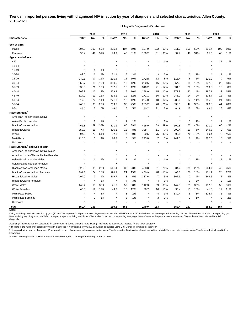# **Trends in reported persons living with diagnosed HIV infection by year of diagnosis and selected characteristics, Allen County, 2016-2020**

**Living with Diagnosed HIV Infection**

|                                              |                   | 2016                    |     |                   | 2017 |     |                   | 2018 |     |                   | 2019 |     |                   | 2020           |     |  |
|----------------------------------------------|-------------------|-------------------------|-----|-------------------|------|-----|-------------------|------|-----|-------------------|------|-----|-------------------|----------------|-----|--|
| Characteristic                               | Rate <sup>a</sup> | No.                     | %   | Rate <sup>a</sup> | No.  | %   | Rate <sup>a</sup> | No.  | %   | Rate <sup>a</sup> | No.  | %   | Rate <sup>a</sup> | No.            | %   |  |
| Sex at birth                                 |                   |                         |     |                   |      |     |                   |      |     |                   |      |     |                   |                |     |  |
| Males                                        | 204.2             | 107                     | 69% | 205.4             | 107  | 69% | 197.0             | 102  | 67% | 211.0             | 109  | 69% | 211.7             | 109            | 69% |  |
| Females                                      | 95.4              | 49                      | 31% | 93.9              | 48   | 31% | 100.2             | 51   | 33% | 94.7              | 48   | 31% | 95.0              | 48             | 31% |  |
| Age at end of year                           |                   |                         |     |                   |      |     |                   |      |     |                   |      |     |                   |                |     |  |
| < 13                                         | $\star$           |                         |     |                   |      |     |                   | 1    | 1%  |                   |      |     |                   | 1              | 1%  |  |
| $13 - 14$                                    |                   |                         |     |                   |      |     |                   |      |     |                   |      |     |                   |                |     |  |
| $15-19$                                      | $\star$           | 1                       | 1%  |                   |      |     |                   |      |     |                   |      |     |                   |                |     |  |
| 20-24                                        | 82.0              | 6                       | 4%  | 71.1              | 5    | 3%  | $\star$           | 3    | 2%  |                   | 2    | 1%  |                   | 1              | 1%  |  |
| 25-29                                        | 249.1             | 17                      | 11% | 215.4             | 15   | 10% | 172.8             | 12   | 8%  | 116.4             | 8    | 5%  | 135.2             | 9              | 6%  |  |
| 30-34                                        | 255.7             | 15                      | 10% | 314.5             | 18   | 12% | 280.6             | 16   | 10% | 254.3             | 15   | 10% | 332.8             | 20             | 13% |  |
| 35-39                                        | 336.9             | 21                      | 13% | 287.5             | 18   | 12% | 340.2             | 21   | 14% | 331.5             | 20   | 13% | 219.6             | 13             | 8%  |  |
| 40-44                                        | 209.8             | 12                      | 8%  | 279.3             | 16   | 10% | 258.0             | 15   | 10% | 371.8             | 22   | 14% | 387.1             | 23             | 15% |  |
| 45-49                                        | 314.0             | 19                      | 12% | 313.1             | 19   | 12% | 271.1             | 16   | 10% | 243.2             | 14   | 9%  | 208.4             | 12             | 8%  |  |
| 50-54                                        | 317.6             | 22                      | 14% | 271.8             | 18   | 12% | 284.0             | 18   | 12% | 280.6             | 17   | 11% | 355.8             | 21             | 13% |  |
| 55-64                                        | 245.9             | 35                      | 22% | 269.6             | 38   | 25% | 285.2             | 40   | 26% | 339.0             | 47   | 30% | 323.6             | 44             | 28% |  |
| $65+$                                        | 46.0              | 8                       | 5%  | 45.0              | 8    | 5%  | 60.7              | 11   | 7%  | 64.8              | 12   | 8%  | 68.9              | 13             | 8%  |  |
| Race/Ethnicity <sup>b</sup>                  |                   |                         |     |                   |      |     |                   |      |     |                   |      |     |                   |                |     |  |
| American Indian/Alaska Native                | $\star$           |                         |     |                   |      |     |                   |      |     |                   |      |     |                   |                |     |  |
| Asian/Pacific Islander                       | $\star$           | -1                      | 1%  |                   | -1   | 1%  | $\star$           | -1   | 1%  |                   | 1    | 1%  |                   | 1              | 1%  |  |
| Black/African-American                       | 462.8             | 59                      | 38% | 471.1             | 60   | 39% | 465.0             | 59   | 39% | 502.8             | 63   | 40% | 521.9             | 66             | 42% |  |
| Hispanic/Latinx                              | 358.3             | 11                      | 7%  | 376.1             | 12   | 8%  | 338.7             | 11   | 7%  | 292.4             | 10   | 6%  | 249.8             | 9              | 6%  |  |
| White                                        | 94.0              | 79                      | 51% | 92.3              | 77   | 50% | 90.5              | 75   | 49% | 92.1              | 76   | 48% | 89.4              | 73             | 46% |  |
| Multi-Race                                   | 218.0             | 6                       | 4%  | 176.3             | 5    | 3%  | 243.0             | 7    | 5%  | 241.3             | 7    | 4%  | 267.8             | 8              | 5%  |  |
| Unknown                                      | $\star$           |                         |     |                   |      |     |                   |      |     |                   |      |     |                   |                |     |  |
| Race/Ethnicity <sup>b</sup> and Sex at birth |                   |                         |     |                   |      |     |                   |      |     |                   |      |     |                   |                |     |  |
| American Indian/Alaska Native Males          |                   |                         |     |                   |      |     |                   |      |     |                   |      |     |                   |                |     |  |
| American Indian/Alaska Native Females        |                   |                         |     |                   |      |     |                   |      |     |                   |      |     |                   |                |     |  |
| Asian/Pacific Islander Males                 |                   | $\overline{1}$          | 1%  |                   | 1    | 1%  |                   | 1    | 1%  |                   | 1    | 1%  |                   | 1              | 1%  |  |
| Asian/Pacific Islander Females               |                   |                         |     |                   |      |     | $\star$           |      |     |                   |      |     |                   |                |     |  |
| <b>Black/African-American Males</b>          | 528.5             | 35                      | 22% | 541.4             | 36   | 23% | 468.8             | 31   | 20% | 534.2             | 35   | 22% | 604.7             | 40             | 25% |  |
| Black/African-American Females               | 391.8             | 24                      | 15% | 394.3             | 24   | 15% | 460.9             | 28   | 18% | 468.5             | 28   | 18% | 431.2             | 26             | 17% |  |
| Hispanic/Latino Males                        | 404.9             | $\overline{7}$          | 4%  | 449.7             | 8    | 5%  | 387.6             | 7    | 5%  | 367.6             | 7    | 4%  | 349.5             | $\overline{7}$ | 4%  |  |
| Hispanic/Latina Females                      | $\star$           | 4                       | 3%  |                   | 4    | 3%  | $\star$           | 4    | 3%  |                   | 3    | 2%  |                   | 2              | 1%  |  |
| <b>White Males</b>                           | 142.4             | 60                      | 38% | 141.3             | 59   | 38% | 142.3             | 59   | 39% | 147.9             | 61   | 39% | 137.2             | 56             | 36% |  |
| <b>White Females</b>                         | 45.3              | 19                      | 12% | 43.2              | 18   | 12% | 38.7              | 16   | 10% | 36.4              | 15   | 10% | 41.6              | 17             | 11% |  |
| Multi-Race Males                             | $\star$           | 4                       | 3%  |                   | 3    | 2%  | $\star$           | 4    | 3%  | 339.4             | 5    | 3%  | 326.4             | 5              | 3%  |  |
| Multi-Race Females                           | $\star$           | $\overline{\mathbf{c}}$ | 1%  | $\ast$            | 2    | 1%  | $\star$           | 3    | 2%  | $\ast$            | 2    | 1%  |                   | 3              | 2%  |  |
| Unknown                                      | $\star$           |                         |     |                   |      |     | $\star$           |      |     |                   |      |     |                   |                |     |  |
| <b>Total</b>                                 | 150.4             | 156                     |     | 150.2             | 155  |     | 149.0             | 153  |     | 153.4             | 157  |     | 154.0             | 157            |     |  |
| Notes:                                       |                   |                         |     |                   |      |     |                   |      |     |                   |      |     |                   |                |     |  |

Living with diagnosed HIV infection by year (2016-2020) represents all persons ever diagnosed and reported with HIV and/or AIDS who have not been reported as having died as of December 31 of the corresponding year. Persons living with diagnosed HIV infection represent persons living in Ohio as of December 31 of the corresponding year, regardless of whether the person was a resident of Ohio at time of initial HIV and/or AIDS diagnosis.

Asterisk (\*) indicates rate not calculated for case count <5 due to unstable rates. Dash (-) indicates no cases were reported for the given category.

<sup>a</sup> The rate is the number of persons living with diagnosed HIV infection per 100,000 population calculated using U.S. Census estimates for that year.

ᵇ Hispanics/Latinx may be of any race. Persons with a race of American Indian/Alaska Native, Asian/Pacific Islander, Black/African-American, White, or Multi-Race are not-Hispanic. Asian/Pacific Islander includes Native Hawaiians.